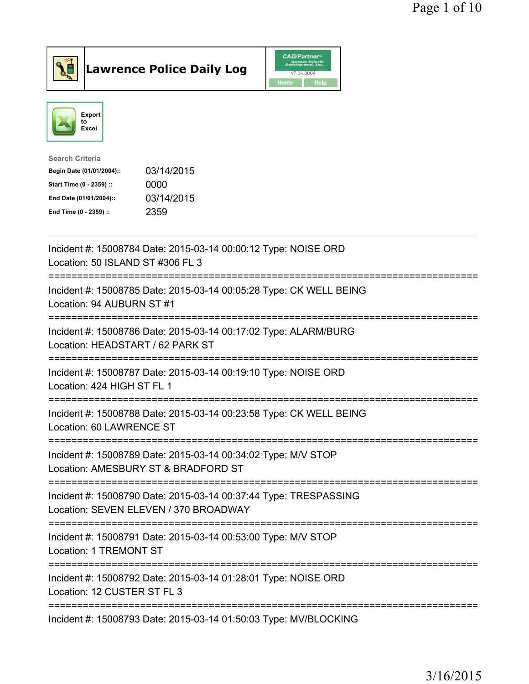



| 03/14/2015 |
|------------|
| 0000       |
| 03/14/2015 |
| 2359       |
|            |

| Incident #: 15008784 Date: 2015-03-14 00:00:12 Type: NOISE ORD<br>Location: 50 ISLAND ST #306 FL 3<br>-----------                                        |
|----------------------------------------------------------------------------------------------------------------------------------------------------------|
| Incident #: 15008785 Date: 2015-03-14 00:05:28 Type: CK WELL BEING<br>Location: 94 AUBURN ST #1<br>:===================<br>----------------------------- |
| Incident #: 15008786 Date: 2015-03-14 00:17:02 Type: ALARM/BURG<br>Location: HEADSTART / 62 PARK ST<br>=============                                     |
| Incident #: 15008787 Date: 2015-03-14 00:19:10 Type: NOISE ORD<br>Location: 424 HIGH ST FL 1<br>-----------------------------                            |
| Incident #: 15008788 Date: 2015-03-14 00:23:58 Type: CK WELL BEING<br>Location: 60 LAWRENCE ST                                                           |
| Incident #: 15008789 Date: 2015-03-14 00:34:02 Type: M/V STOP<br>Location: AMESBURY ST & BRADFORD ST                                                     |
| Incident #: 15008790 Date: 2015-03-14 00:37:44 Type: TRESPASSING<br>Location: SEVEN ELEVEN / 370 BROADWAY                                                |
| Incident #: 15008791 Date: 2015-03-14 00:53:00 Type: M/V STOP<br>Location: 1 TREMONT ST                                                                  |
| Incident #: 15008792 Date: 2015-03-14 01:28:01 Type: NOISE ORD<br>Location: 12 CUSTER ST FL 3                                                            |
| Incident #: 15008793 Date: 2015-03-14 01:50:03 Type: MV/BLOCKING                                                                                         |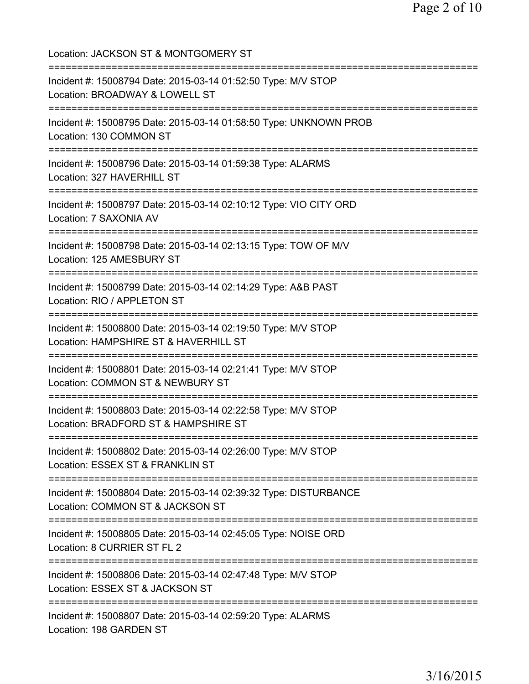Location: JACKSON ST & MONTGOMERY ST =========================================================================== Incident #: 15008794 Date: 2015-03-14 01:52:50 Type: M/V STOP Location: BROADWAY & LOWELL ST =========================================================================== Incident #: 15008795 Date: 2015-03-14 01:58:50 Type: UNKNOWN PROB Location: 130 COMMON ST =========================================================================== Incident #: 15008796 Date: 2015-03-14 01:59:38 Type: ALARMS Location: 327 HAVERHILL ST =========================================================================== Incident #: 15008797 Date: 2015-03-14 02:10:12 Type: VIO CITY ORD Location: 7 SAXONIA AV =========================================================================== Incident #: 15008798 Date: 2015-03-14 02:13:15 Type: TOW OF M/V Location: 125 AMESBURY ST =========================================================================== Incident #: 15008799 Date: 2015-03-14 02:14:29 Type: A&B PAST Location: RIO / APPLETON ST =========================================================================== Incident #: 15008800 Date: 2015-03-14 02:19:50 Type: M/V STOP Location: HAMPSHIRE ST & HAVERHILL ST =========================================================================== Incident #: 15008801 Date: 2015-03-14 02:21:41 Type: M/V STOP Location: COMMON ST & NEWBURY ST =========================================================================== Incident #: 15008803 Date: 2015-03-14 02:22:58 Type: M/V STOP Location: BRADFORD ST & HAMPSHIRE ST =========================================================================== Incident #: 15008802 Date: 2015-03-14 02:26:00 Type: M/V STOP Location: ESSEX ST & FRANKLIN ST =========================================================================== Incident #: 15008804 Date: 2015-03-14 02:39:32 Type: DISTURBANCE Location: COMMON ST & JACKSON ST =========================================================================== Incident #: 15008805 Date: 2015-03-14 02:45:05 Type: NOISE ORD Location: 8 CURRIER ST FL 2 =========================================================================== Incident #: 15008806 Date: 2015-03-14 02:47:48 Type: M/V STOP Location: ESSEX ST & JACKSON ST =========================================================================== Incident #: 15008807 Date: 2015-03-14 02:59:20 Type: ALARMS Location: 198 GARDEN ST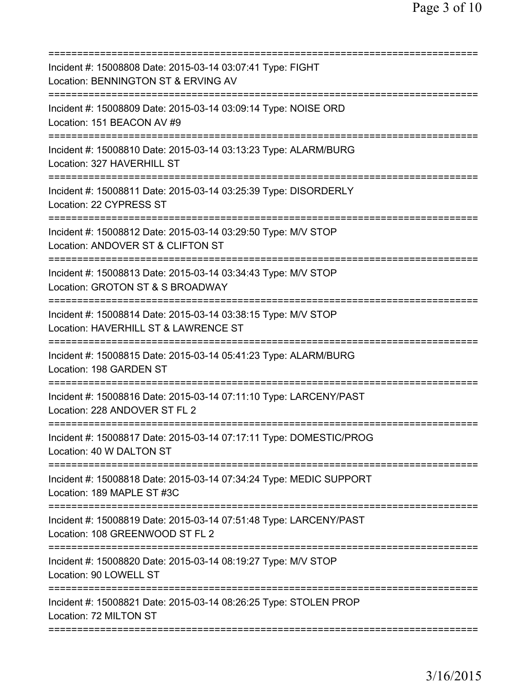| Incident #: 15008808 Date: 2015-03-14 03:07:41 Type: FIGHT<br>Location: BENNINGTON ST & ERVING AV                          |
|----------------------------------------------------------------------------------------------------------------------------|
| Incident #: 15008809 Date: 2015-03-14 03:09:14 Type: NOISE ORD<br>Location: 151 BEACON AV #9                               |
| Incident #: 15008810 Date: 2015-03-14 03:13:23 Type: ALARM/BURG<br>Location: 327 HAVERHILL ST                              |
| Incident #: 15008811 Date: 2015-03-14 03:25:39 Type: DISORDERLY<br>Location: 22 CYPRESS ST                                 |
| Incident #: 15008812 Date: 2015-03-14 03:29:50 Type: M/V STOP<br>Location: ANDOVER ST & CLIFTON ST                         |
| Incident #: 15008813 Date: 2015-03-14 03:34:43 Type: M/V STOP<br>Location: GROTON ST & S BROADWAY                          |
| Incident #: 15008814 Date: 2015-03-14 03:38:15 Type: M/V STOP<br>Location: HAVERHILL ST & LAWRENCE ST                      |
| Incident #: 15008815 Date: 2015-03-14 05:41:23 Type: ALARM/BURG<br>Location: 198 GARDEN ST                                 |
| Incident #: 15008816 Date: 2015-03-14 07:11:10 Type: LARCENY/PAST<br>Location: 228 ANDOVER ST FL 2                         |
| Incident #: 15008817 Date: 2015-03-14 07:17:11 Type: DOMESTIC/PROG<br>Location: 40 W DALTON ST                             |
| Incident #: 15008818 Date: 2015-03-14 07:34:24 Type: MEDIC SUPPORT<br>Location: 189 MAPLE ST #3C<br>---------------------- |
| Incident #: 15008819 Date: 2015-03-14 07:51:48 Type: LARCENY/PAST<br>Location: 108 GREENWOOD ST FL 2                       |
| Incident #: 15008820 Date: 2015-03-14 08:19:27 Type: M/V STOP<br>Location: 90 LOWELL ST                                    |
| Incident #: 15008821 Date: 2015-03-14 08:26:25 Type: STOLEN PROP<br>Location: 72 MILTON ST                                 |
|                                                                                                                            |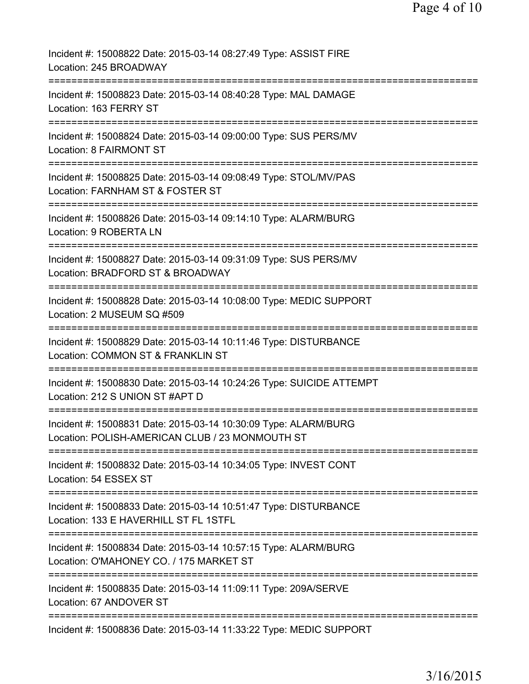| Incident #: 15008822 Date: 2015-03-14 08:27:49 Type: ASSIST FIRE<br>Location: 245 BROADWAY                                         |
|------------------------------------------------------------------------------------------------------------------------------------|
| Incident #: 15008823 Date: 2015-03-14 08:40:28 Type: MAL DAMAGE<br>Location: 163 FERRY ST                                          |
| Incident #: 15008824 Date: 2015-03-14 09:00:00 Type: SUS PERS/MV<br><b>Location: 8 FAIRMONT ST</b>                                 |
| Incident #: 15008825 Date: 2015-03-14 09:08:49 Type: STOL/MV/PAS<br>Location: FARNHAM ST & FOSTER ST                               |
| =========================<br>Incident #: 15008826 Date: 2015-03-14 09:14:10 Type: ALARM/BURG<br>Location: 9 ROBERTA LN             |
| Incident #: 15008827 Date: 2015-03-14 09:31:09 Type: SUS PERS/MV<br>Location: BRADFORD ST & BROADWAY                               |
| Incident #: 15008828 Date: 2015-03-14 10:08:00 Type: MEDIC SUPPORT<br>Location: 2 MUSEUM SQ #509                                   |
| Incident #: 15008829 Date: 2015-03-14 10:11:46 Type: DISTURBANCE<br>Location: COMMON ST & FRANKLIN ST                              |
| Incident #: 15008830 Date: 2015-03-14 10:24:26 Type: SUICIDE ATTEMPT<br>Location: 212 S UNION ST #APT D                            |
| Incident #: 15008831 Date: 2015-03-14 10:30:09 Type: ALARM/BURG<br>Location: POLISH-AMERICAN CLUB / 23 MONMOUTH ST                 |
| =====================================<br>Incident #: 15008832 Date: 2015-03-14 10:34:05 Type: INVEST CONT<br>Location: 54 ESSEX ST |
| Incident #: 15008833 Date: 2015-03-14 10:51:47 Type: DISTURBANCE<br>Location: 133 E HAVERHILL ST FL 1STFL                          |
| Incident #: 15008834 Date: 2015-03-14 10:57:15 Type: ALARM/BURG<br>Location: O'MAHONEY CO. / 175 MARKET ST                         |
| Incident #: 15008835 Date: 2015-03-14 11:09:11 Type: 209A/SERVE<br>Location: 67 ANDOVER ST                                         |
| ========================<br>Incident #: 15008836 Date: 2015-03-14 11:33:22 Type: MEDIC SUPPORT                                     |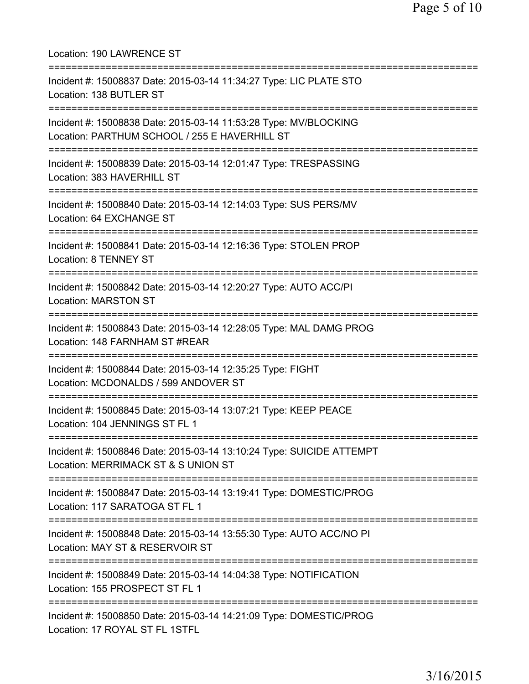| Location: 190 LAWRENCE ST<br>=====================================                                                                                  |
|-----------------------------------------------------------------------------------------------------------------------------------------------------|
| Incident #: 15008837 Date: 2015-03-14 11:34:27 Type: LIC PLATE STO<br>Location: 138 BUTLER ST                                                       |
| Incident #: 15008838 Date: 2015-03-14 11:53:28 Type: MV/BLOCKING<br>Location: PARTHUM SCHOOL / 255 E HAVERHILL ST<br>:============================= |
| Incident #: 15008839 Date: 2015-03-14 12:01:47 Type: TRESPASSING<br>Location: 383 HAVERHILL ST                                                      |
| :======================<br>Incident #: 15008840 Date: 2015-03-14 12:14:03 Type: SUS PERS/MV<br>Location: 64 EXCHANGE ST                             |
| Incident #: 15008841 Date: 2015-03-14 12:16:36 Type: STOLEN PROP<br><b>Location: 8 TENNEY ST</b>                                                    |
| Incident #: 15008842 Date: 2015-03-14 12:20:27 Type: AUTO ACC/PI<br><b>Location: MARSTON ST</b>                                                     |
| Incident #: 15008843 Date: 2015-03-14 12:28:05 Type: MAL DAMG PROG<br>Location: 148 FARNHAM ST #REAR                                                |
| Incident #: 15008844 Date: 2015-03-14 12:35:25 Type: FIGHT<br>Location: MCDONALDS / 599 ANDOVER ST<br>================================              |
| Incident #: 15008845 Date: 2015-03-14 13:07:21 Type: KEEP PEACE<br>Location: 104 JENNINGS ST FL 1                                                   |
| Incident #: 15008846 Date: 2015-03-14 13:10:24 Type: SUICIDE ATTEMPT<br>Location: MERRIMACK ST & S UNION ST                                         |
| Incident #: 15008847 Date: 2015-03-14 13:19:41 Type: DOMESTIC/PROG<br>Location: 117 SARATOGA ST FL 1                                                |
| Incident #: 15008848 Date: 2015-03-14 13:55:30 Type: AUTO ACC/NO PI<br>Location: MAY ST & RESERVOIR ST                                              |
| Incident #: 15008849 Date: 2015-03-14 14:04:38 Type: NOTIFICATION<br>Location: 155 PROSPECT ST FL 1                                                 |
| Incident #: 15008850 Date: 2015-03-14 14:21:09 Type: DOMESTIC/PROG<br>Location: 17 ROYAL ST FL 1STFL                                                |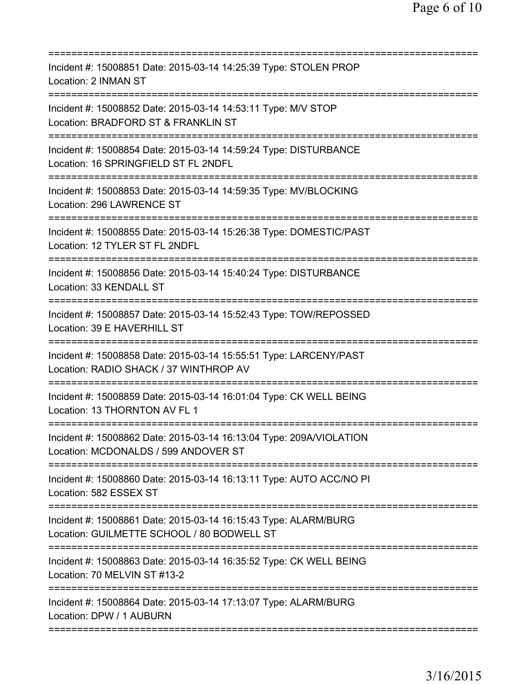| Incident #: 15008851 Date: 2015-03-14 14:25:39 Type: STOLEN PROP<br>Location: 2 INMAN ST                                             |
|--------------------------------------------------------------------------------------------------------------------------------------|
| Incident #: 15008852 Date: 2015-03-14 14:53:11 Type: M/V STOP<br>Location: BRADFORD ST & FRANKLIN ST                                 |
| Incident #: 15008854 Date: 2015-03-14 14:59:24 Type: DISTURBANCE<br>Location: 16 SPRINGFIELD ST FL 2NDFL<br>======================== |
| Incident #: 15008853 Date: 2015-03-14 14:59:35 Type: MV/BLOCKING<br>Location: 296 LAWRENCE ST                                        |
| Incident #: 15008855 Date: 2015-03-14 15:26:38 Type: DOMESTIC/PAST<br>Location: 12 TYLER ST FL 2NDFL                                 |
| Incident #: 15008856 Date: 2015-03-14 15:40:24 Type: DISTURBANCE<br>Location: 33 KENDALL ST                                          |
| Incident #: 15008857 Date: 2015-03-14 15:52:43 Type: TOW/REPOSSED<br>Location: 39 E HAVERHILL ST                                     |
| Incident #: 15008858 Date: 2015-03-14 15:55:51 Type: LARCENY/PAST<br>Location: RADIO SHACK / 37 WINTHROP AV                          |
| Incident #: 15008859 Date: 2015-03-14 16:01:04 Type: CK WELL BEING<br>Location: 13 THORNTON AV FL 1                                  |
| Incident #: 15008862 Date: 2015-03-14 16:13:04 Type: 209A/VIOLATION<br>Location: MCDONALDS / 599 ANDOVER ST                          |
| Incident #: 15008860 Date: 2015-03-14 16:13:11 Type: AUTO ACC/NO PI<br>Location: 582 ESSEX ST                                        |
| Incident #: 15008861 Date: 2015-03-14 16:15:43 Type: ALARM/BURG<br>Location: GUILMETTE SCHOOL / 80 BODWELL ST                        |
| Incident #: 15008863 Date: 2015-03-14 16:35:52 Type: CK WELL BEING<br>Location: 70 MELVIN ST #13-2                                   |
| Incident #: 15008864 Date: 2015-03-14 17:13:07 Type: ALARM/BURG<br>Location: DPW / 1 AUBURN                                          |
|                                                                                                                                      |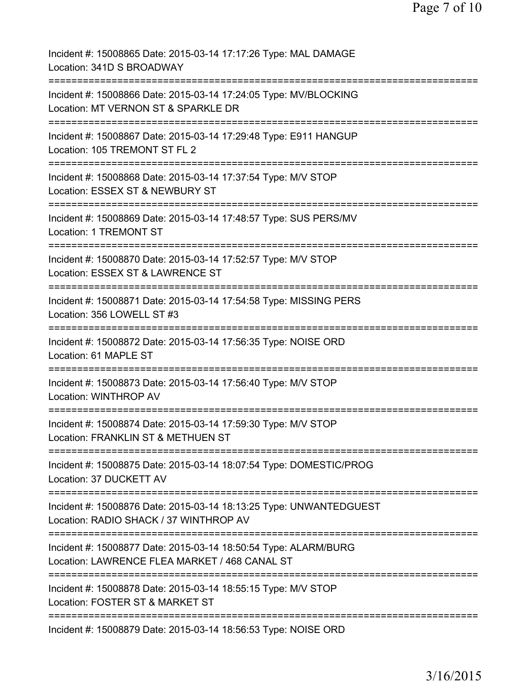| Incident #: 15008865 Date: 2015-03-14 17:17:26 Type: MAL DAMAGE<br>Location: 341D S BROADWAY                                         |
|--------------------------------------------------------------------------------------------------------------------------------------|
| Incident #: 15008866 Date: 2015-03-14 17:24:05 Type: MV/BLOCKING<br>Location: MT VERNON ST & SPARKLE DR                              |
| Incident #: 15008867 Date: 2015-03-14 17:29:48 Type: E911 HANGUP<br>Location: 105 TREMONT ST FL 2                                    |
| Incident #: 15008868 Date: 2015-03-14 17:37:54 Type: M/V STOP<br>Location: ESSEX ST & NEWBURY ST                                     |
| Incident #: 15008869 Date: 2015-03-14 17:48:57 Type: SUS PERS/MV<br>Location: 1 TREMONT ST                                           |
| Incident #: 15008870 Date: 2015-03-14 17:52:57 Type: M/V STOP<br>Location: ESSEX ST & LAWRENCE ST                                    |
| Incident #: 15008871 Date: 2015-03-14 17:54:58 Type: MISSING PERS<br>Location: 356 LOWELL ST #3                                      |
| Incident #: 15008872 Date: 2015-03-14 17:56:35 Type: NOISE ORD<br>Location: 61 MAPLE ST                                              |
| ===================================<br>Incident #: 15008873 Date: 2015-03-14 17:56:40 Type: M/V STOP<br><b>Location: WINTHROP AV</b> |
| ======================<br>Incident #: 15008874 Date: 2015-03-14 17:59:30 Type: M/V STOP<br>Location: FRANKLIN ST & METHUEN ST        |
| Incident #: 15008875 Date: 2015-03-14 18:07:54 Type: DOMESTIC/PROG<br>Location: 37 DUCKETT AV                                        |
| Incident #: 15008876 Date: 2015-03-14 18:13:25 Type: UNWANTEDGUEST<br>Location: RADIO SHACK / 37 WINTHROP AV                         |
| Incident #: 15008877 Date: 2015-03-14 18:50:54 Type: ALARM/BURG<br>Location: LAWRENCE FLEA MARKET / 468 CANAL ST                     |
| Incident #: 15008878 Date: 2015-03-14 18:55:15 Type: M/V STOP<br>Location: FOSTER ST & MARKET ST                                     |
| Incident #: 15008879 Date: 2015-03-14 18:56:53 Type: NOISE ORD                                                                       |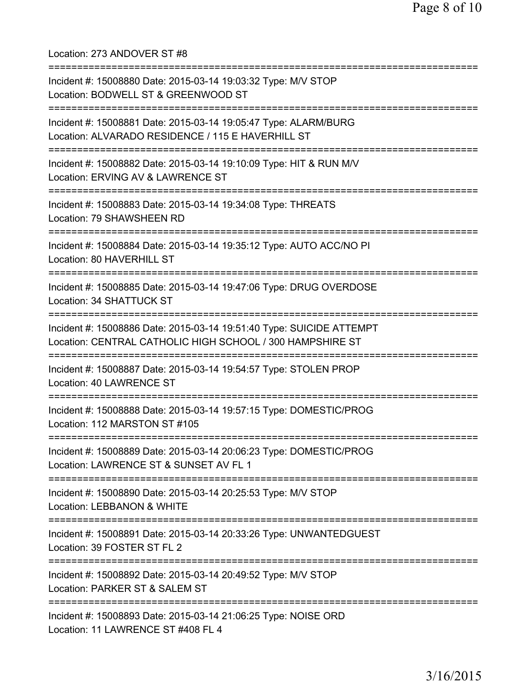Location: 273 ANDOVER ST #8 =========================================================================== Incident #: 15008880 Date: 2015-03-14 19:03:32 Type: M/V STOP Location: BODWELL ST & GREENWOOD ST =========================================================================== Incident #: 15008881 Date: 2015-03-14 19:05:47 Type: ALARM/BURG Location: ALVARADO RESIDENCE / 115 E HAVERHILL ST =========================================================================== Incident #: 15008882 Date: 2015-03-14 19:10:09 Type: HIT & RUN M/V Location: ERVING AV & LAWRENCE ST =========================================================================== Incident #: 15008883 Date: 2015-03-14 19:34:08 Type: THREATS Location: 79 SHAWSHEEN RD =========================================================================== Incident #: 15008884 Date: 2015-03-14 19:35:12 Type: AUTO ACC/NO PI Location: 80 HAVERHILL ST =========================================================================== Incident #: 15008885 Date: 2015-03-14 19:47:06 Type: DRUG OVERDOSE Location: 34 SHATTUCK ST =========================================================================== Incident #: 15008886 Date: 2015-03-14 19:51:40 Type: SUICIDE ATTEMPT Location: CENTRAL CATHOLIC HIGH SCHOOL / 300 HAMPSHIRE ST =========================================================================== Incident #: 15008887 Date: 2015-03-14 19:54:57 Type: STOLEN PROP Location: 40 LAWRENCE ST =========================================================================== Incident #: 15008888 Date: 2015-03-14 19:57:15 Type: DOMESTIC/PROG Location: 112 MARSTON ST #105 =========================================================================== Incident #: 15008889 Date: 2015-03-14 20:06:23 Type: DOMESTIC/PROG Location: LAWRENCE ST & SUNSET AV FL 1 =========================================================================== Incident #: 15008890 Date: 2015-03-14 20:25:53 Type: M/V STOP Location: LEBBANON & WHITE =========================================================================== Incident #: 15008891 Date: 2015-03-14 20:33:26 Type: UNWANTEDGUEST Location: 39 FOSTER ST FL 2 =========================================================================== Incident #: 15008892 Date: 2015-03-14 20:49:52 Type: M/V STOP Location: PARKER ST & SALEM ST =========================================================================== Incident #: 15008893 Date: 2015-03-14 21:06:25 Type: NOISE ORD Location: 11 LAWRENCE ST #408 FL 4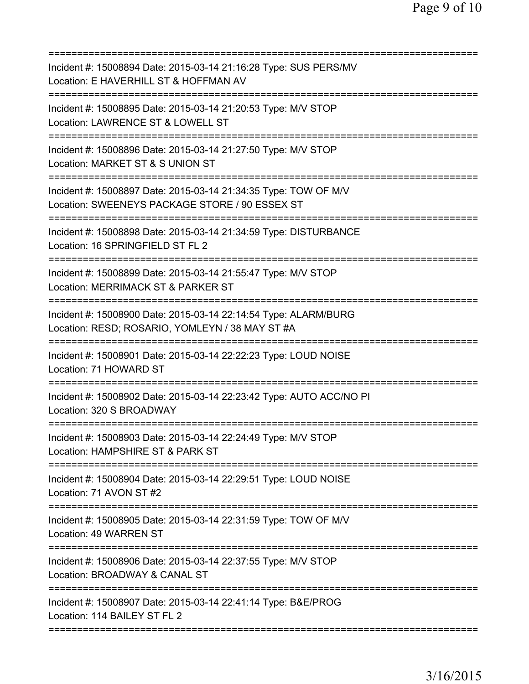| Incident #: 15008894 Date: 2015-03-14 21:16:28 Type: SUS PERS/MV<br>Location: E HAVERHILL ST & HOFFMAN AV                                           |
|-----------------------------------------------------------------------------------------------------------------------------------------------------|
| Incident #: 15008895 Date: 2015-03-14 21:20:53 Type: M/V STOP<br>Location: LAWRENCE ST & LOWELL ST                                                  |
| Incident #: 15008896 Date: 2015-03-14 21:27:50 Type: M/V STOP<br>Location: MARKET ST & S UNION ST                                                   |
| Incident #: 15008897 Date: 2015-03-14 21:34:35 Type: TOW OF M/V<br>Location: SWEENEYS PACKAGE STORE / 90 ESSEX ST<br>============================== |
| Incident #: 15008898 Date: 2015-03-14 21:34:59 Type: DISTURBANCE<br>Location: 16 SPRINGFIELD ST FL 2                                                |
| Incident #: 15008899 Date: 2015-03-14 21:55:47 Type: M/V STOP<br>Location: MERRIMACK ST & PARKER ST                                                 |
| Incident #: 15008900 Date: 2015-03-14 22:14:54 Type: ALARM/BURG<br>Location: RESD; ROSARIO, YOMLEYN / 38 MAY ST #A                                  |
| Incident #: 15008901 Date: 2015-03-14 22:22:23 Type: LOUD NOISE<br>Location: 71 HOWARD ST                                                           |
| Incident #: 15008902 Date: 2015-03-14 22:23:42 Type: AUTO ACC/NO PI<br>Location: 320 S BROADWAY                                                     |
| Incident #: 15008903 Date: 2015-03-14 22:24:49 Type: M/V STOP<br>Location: HAMPSHIRE ST & PARK ST                                                   |
| ============================<br>Incident #: 15008904 Date: 2015-03-14 22:29:51 Type: LOUD NOISE<br>Location: 71 AVON ST #2                          |
| Incident #: 15008905 Date: 2015-03-14 22:31:59 Type: TOW OF M/V<br>Location: 49 WARREN ST                                                           |
| Incident #: 15008906 Date: 2015-03-14 22:37:55 Type: M/V STOP<br>Location: BROADWAY & CANAL ST                                                      |
| Incident #: 15008907 Date: 2015-03-14 22:41:14 Type: B&E/PROG<br>Location: 114 BAILEY ST FL 2                                                       |
|                                                                                                                                                     |